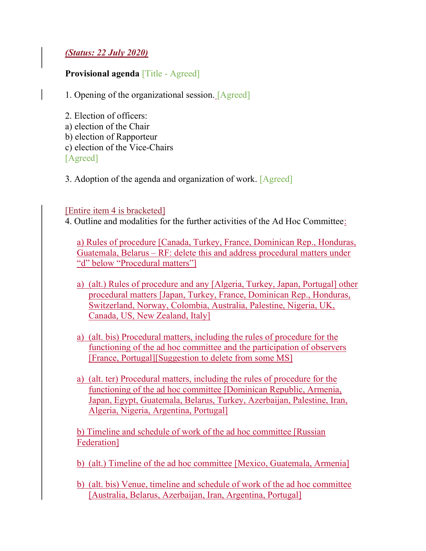## (Status: 22 July 2020)

## Provisional agenda [Title - Agreed]

- 1. Opening of the organizational session. [Agreed]
- 2. Election of officers: a) election of the Chair b) election of Rapporteur c) election of the Vice-Chairs [Agreed]
- 3. Adoption of the agenda and organization of work. [Agreed]

## [Entire item 4 is bracketed]

4. Outline and modalities for the further activities of the Ad Hoc Committee:

a) Rules of procedure [Canada, Turkey, France, Dominican Rep., Honduras, Guatemala, Belarus – RF: delete this and address procedural matters under "d" below "Procedural matters"]

- a) (alt.) Rules of procedure and any [Algeria, Turkey, Japan, Portugal] other procedural matters [Japan, Turkey, France, Dominican Rep., Honduras, Switzerland, Norway, Colombia, Australia, Palestine, Nigeria, UK, Canada, US, New Zealand, Italy]
- a) (alt. bis) Procedural matters, including the rules of procedure for the functioning of the ad hoc committee and the participation of observers [France, Portugal][Suggestion to delete from some MS]
- a) (alt. ter) Procedural matters, including the rules of procedure for the functioning of the ad hoc committee [Dominican Republic, Armenia, Japan, Egypt, Guatemala, Belarus, Turkey, Azerbaijan, Palestine, Iran, Algeria, Nigeria, Argentina, Portugal]

b) Timeline and schedule of work of the ad hoc committee [Russian Federation]

b) (alt.) Timeline of the ad hoc committee [Mexico, Guatemala, Armenia]

b) (alt. bis) Venue, timeline and schedule of work of the ad hoc committee [Australia, Belarus, Azerbaijan, Iran, Argentina, Portugal]